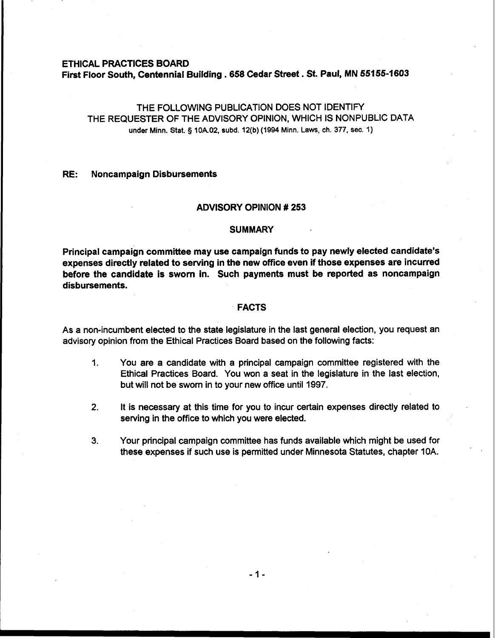### ETHICAL PRACTICES BOARD

First Floor South, Centennial Building . **<sup>658</sup>**Cedar Street. **St.** Paul, MN **55155-1603** 

# THE FOLLOWING PUBLICATION DOES NOT IDENTIFY THE REQUESTER OF THE ADVISORY OPINION, WHICH IS NONPUBLIC DATA under Minn. Stat. § 10A.02, subd. 12(b) (1994 Minn. Laws, ch. 377, sec. 1)

# RE: Noncampaign Disbursements

## ADVISORY OPINION # **253**

#### **SUMMARY**

Principal campaign committee may use campaign funds to pay newly elected candidate's expenses directly related to serving in the new office even if those expenses are incurred before the candidate is sworn in. Such payments must be reported as noncampaign disbursements.

# FACTS

As a non-incumbent elected to the state legislature in the last general election, you request an advisory opinion from the Ethical Practices Board based on the following facts:

- 1. You are a candidate with a principal campaign committee registered with the Ethical Practices Board. You won a seat in the legislature in the last election, but will not be sworn in to your new office until 1997.
- **2.** It is necessary at this time for you to incur certain expenses directly related to serving in the office to which you were elected.
- **3.** Your principal campaign committee has funds available which might be used for these expenses if such use is permitted under Minnesota Statutes, chapter 10A.